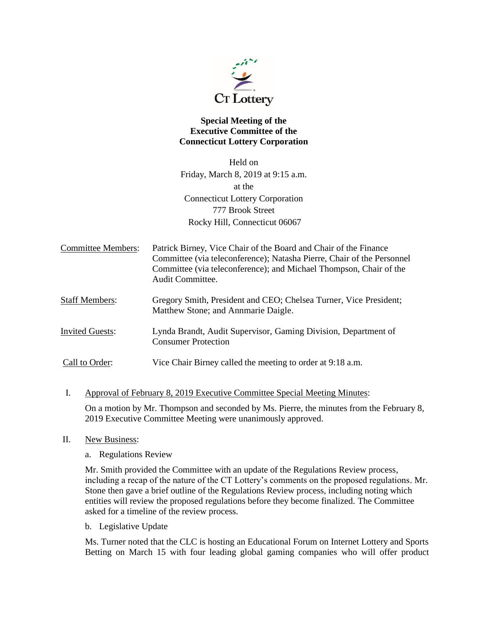

## **Special Meeting of the Executive Committee of the Connecticut Lottery Corporation**

Held on Friday, March 8, 2019 at 9:15 a.m. at the Connecticut Lottery Corporation 777 Brook Street Rocky Hill, Connecticut 06067

| Committee Members: | Patrick Birney, Vice Chair of the Board and Chair of the Finance       |
|--------------------|------------------------------------------------------------------------|
|                    | Committee (via teleconference); Natasha Pierre, Chair of the Personnel |
|                    | Committee (via teleconference); and Michael Thompson, Chair of the     |
|                    | Audit Committee.                                                       |

- Staff Members: Gregory Smith, President and CEO; Chelsea Turner, Vice President; Matthew Stone; and Annmarie Daigle.
- Invited Guests: Lynda Brandt, Audit Supervisor, Gaming Division, Department of Consumer Protection
- Call to Order: Vice Chair Birney called the meeting to order at 9:18 a.m.
- I. Approval of February 8, 2019 Executive Committee Special Meeting Minutes:

On a motion by Mr. Thompson and seconded by Ms. Pierre, the minutes from the February 8, 2019 Executive Committee Meeting were unanimously approved.

- II. New Business:
	- a. Regulations Review

Mr. Smith provided the Committee with an update of the Regulations Review process, including a recap of the nature of the CT Lottery's comments on the proposed regulations. Mr. Stone then gave a brief outline of the Regulations Review process, including noting which entities will review the proposed regulations before they become finalized. The Committee asked for a timeline of the review process.

b. Legislative Update

Ms. Turner noted that the CLC is hosting an Educational Forum on Internet Lottery and Sports Betting on March 15 with four leading global gaming companies who will offer product